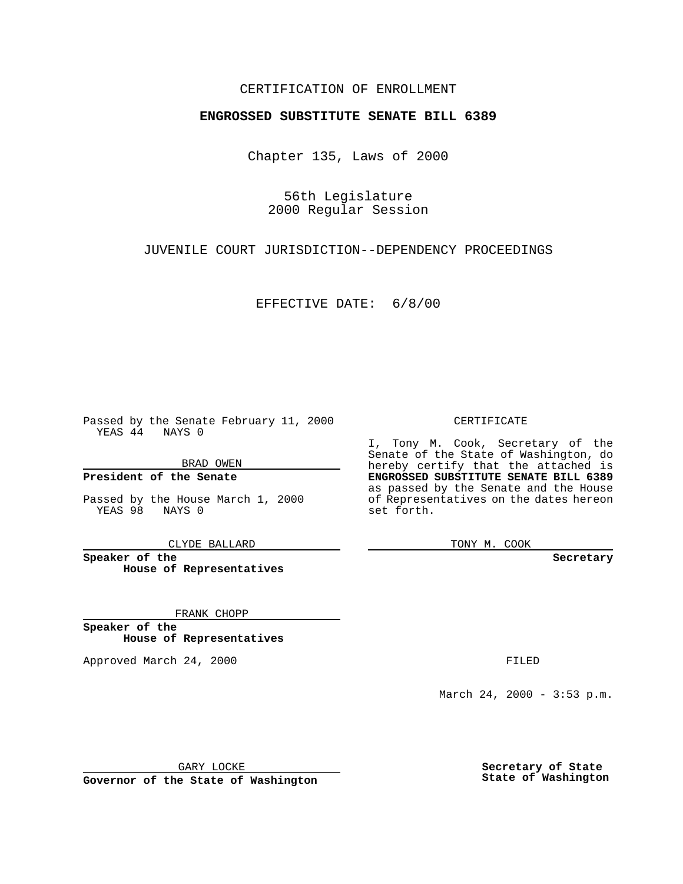### CERTIFICATION OF ENROLLMENT

# **ENGROSSED SUBSTITUTE SENATE BILL 6389**

Chapter 135, Laws of 2000

56th Legislature 2000 Regular Session

JUVENILE COURT JURISDICTION--DEPENDENCY PROCEEDINGS

EFFECTIVE DATE: 6/8/00

Passed by the Senate February 11, 2000 YEAS 44 NAYS 0

BRAD OWEN

**President of the Senate**

Passed by the House March 1, 2000 YEAS 98 NAYS 0

CLYDE BALLARD

**Speaker of the House of Representatives**

FRANK CHOPP

**Speaker of the House of Representatives**

Approved March 24, 2000 FILED

### CERTIFICATE

I, Tony M. Cook, Secretary of the Senate of the State of Washington, do hereby certify that the attached is **ENGROSSED SUBSTITUTE SENATE BILL 6389** as passed by the Senate and the House of Representatives on the dates hereon set forth.

TONY M. COOK

**Secretary**

March 24, 2000 - 3:53 p.m.

GARY LOCKE

**Governor of the State of Washington**

**Secretary of State State of Washington**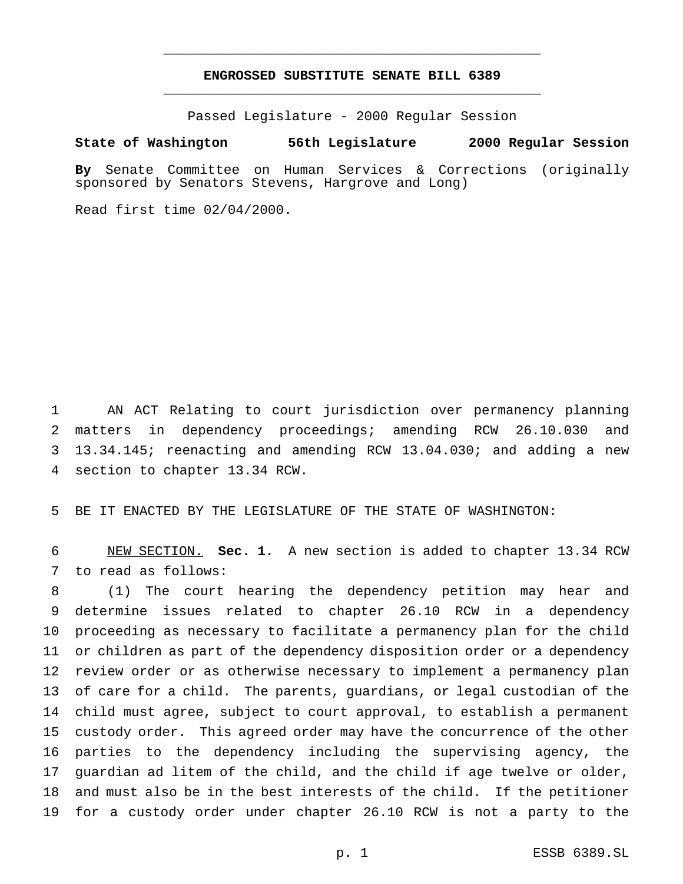## **ENGROSSED SUBSTITUTE SENATE BILL 6389** \_\_\_\_\_\_\_\_\_\_\_\_\_\_\_\_\_\_\_\_\_\_\_\_\_\_\_\_\_\_\_\_\_\_\_\_\_\_\_\_\_\_\_\_\_\_\_

\_\_\_\_\_\_\_\_\_\_\_\_\_\_\_\_\_\_\_\_\_\_\_\_\_\_\_\_\_\_\_\_\_\_\_\_\_\_\_\_\_\_\_\_\_\_\_

Passed Legislature - 2000 Regular Session

#### **State of Washington 56th Legislature 2000 Regular Session**

**By** Senate Committee on Human Services & Corrections (originally sponsored by Senators Stevens, Hargrove and Long)

Read first time 02/04/2000.

 AN ACT Relating to court jurisdiction over permanency planning matters in dependency proceedings; amending RCW 26.10.030 and 13.34.145; reenacting and amending RCW 13.04.030; and adding a new section to chapter 13.34 RCW.

BE IT ENACTED BY THE LEGISLATURE OF THE STATE OF WASHINGTON:

 NEW SECTION. **Sec. 1.** A new section is added to chapter 13.34 RCW to read as follows:

 (1) The court hearing the dependency petition may hear and determine issues related to chapter 26.10 RCW in a dependency proceeding as necessary to facilitate a permanency plan for the child or children as part of the dependency disposition order or a dependency review order or as otherwise necessary to implement a permanency plan of care for a child. The parents, guardians, or legal custodian of the child must agree, subject to court approval, to establish a permanent custody order. This agreed order may have the concurrence of the other parties to the dependency including the supervising agency, the guardian ad litem of the child, and the child if age twelve or older, and must also be in the best interests of the child. If the petitioner for a custody order under chapter 26.10 RCW is not a party to the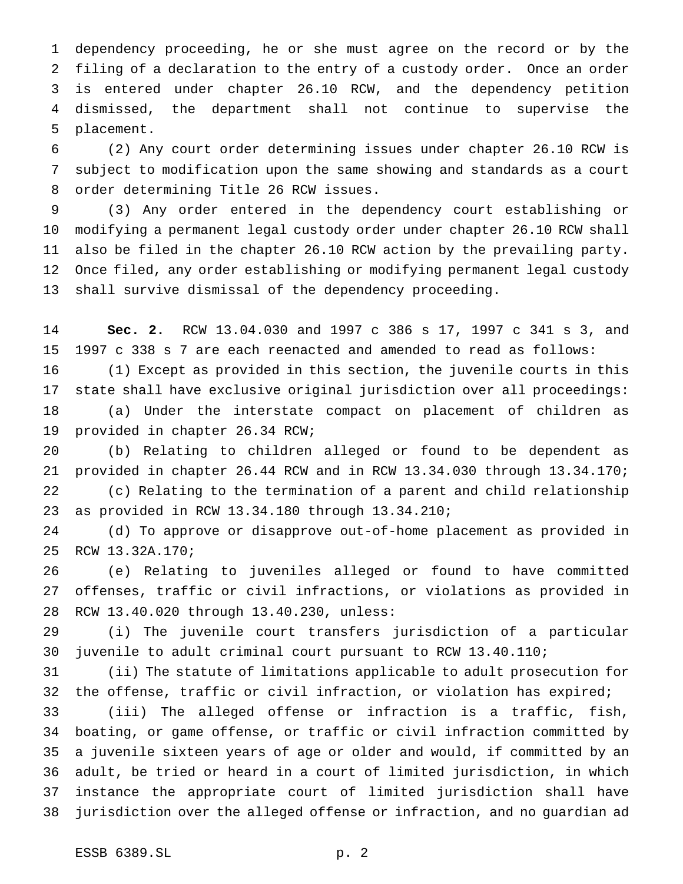dependency proceeding, he or she must agree on the record or by the filing of a declaration to the entry of a custody order. Once an order is entered under chapter 26.10 RCW, and the dependency petition dismissed, the department shall not continue to supervise the placement.

 (2) Any court order determining issues under chapter 26.10 RCW is subject to modification upon the same showing and standards as a court order determining Title 26 RCW issues.

 (3) Any order entered in the dependency court establishing or modifying a permanent legal custody order under chapter 26.10 RCW shall also be filed in the chapter 26.10 RCW action by the prevailing party. Once filed, any order establishing or modifying permanent legal custody shall survive dismissal of the dependency proceeding.

 **Sec. 2.** RCW 13.04.030 and 1997 c 386 s 17, 1997 c 341 s 3, and 1997 c 338 s 7 are each reenacted and amended to read as follows:

 (1) Except as provided in this section, the juvenile courts in this state shall have exclusive original jurisdiction over all proceedings: (a) Under the interstate compact on placement of children as provided in chapter 26.34 RCW;

 (b) Relating to children alleged or found to be dependent as provided in chapter 26.44 RCW and in RCW 13.34.030 through 13.34.170; (c) Relating to the termination of a parent and child relationship as provided in RCW 13.34.180 through 13.34.210;

 (d) To approve or disapprove out-of-home placement as provided in RCW 13.32A.170;

 (e) Relating to juveniles alleged or found to have committed offenses, traffic or civil infractions, or violations as provided in RCW 13.40.020 through 13.40.230, unless:

 (i) The juvenile court transfers jurisdiction of a particular juvenile to adult criminal court pursuant to RCW 13.40.110;

 (ii) The statute of limitations applicable to adult prosecution for the offense, traffic or civil infraction, or violation has expired;

 (iii) The alleged offense or infraction is a traffic, fish, boating, or game offense, or traffic or civil infraction committed by a juvenile sixteen years of age or older and would, if committed by an adult, be tried or heard in a court of limited jurisdiction, in which instance the appropriate court of limited jurisdiction shall have jurisdiction over the alleged offense or infraction, and no guardian ad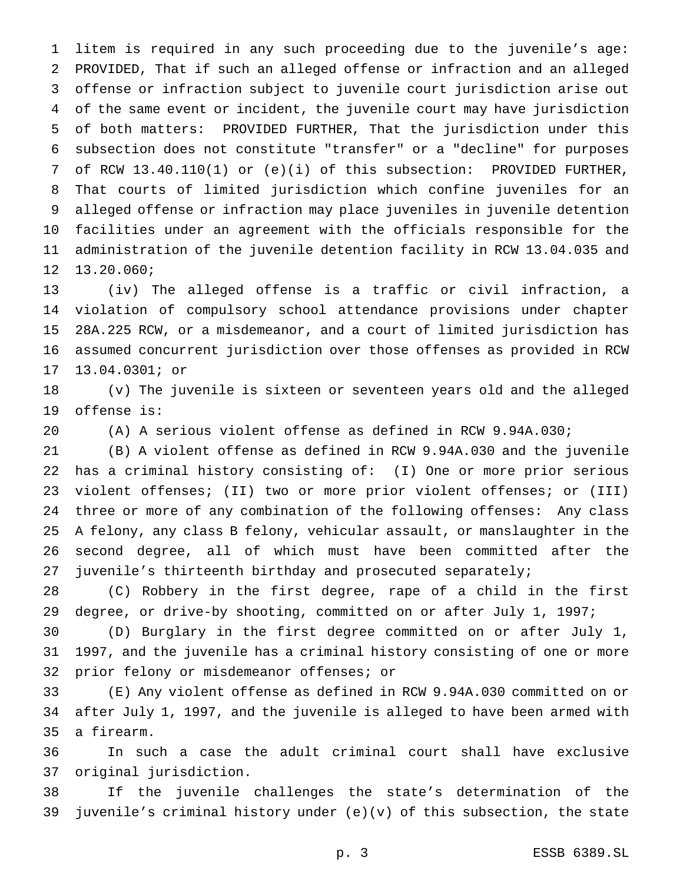litem is required in any such proceeding due to the juvenile's age: PROVIDED, That if such an alleged offense or infraction and an alleged offense or infraction subject to juvenile court jurisdiction arise out of the same event or incident, the juvenile court may have jurisdiction of both matters: PROVIDED FURTHER, That the jurisdiction under this subsection does not constitute "transfer" or a "decline" for purposes of RCW 13.40.110(1) or (e)(i) of this subsection: PROVIDED FURTHER, That courts of limited jurisdiction which confine juveniles for an alleged offense or infraction may place juveniles in juvenile detention facilities under an agreement with the officials responsible for the administration of the juvenile detention facility in RCW 13.04.035 and 13.20.060;

 (iv) The alleged offense is a traffic or civil infraction, a violation of compulsory school attendance provisions under chapter 28A.225 RCW, or a misdemeanor, and a court of limited jurisdiction has assumed concurrent jurisdiction over those offenses as provided in RCW 13.04.0301; or

 (v) The juvenile is sixteen or seventeen years old and the alleged offense is:

(A) A serious violent offense as defined in RCW 9.94A.030;

 (B) A violent offense as defined in RCW 9.94A.030 and the juvenile has a criminal history consisting of: (I) One or more prior serious violent offenses; (II) two or more prior violent offenses; or (III) three or more of any combination of the following offenses: Any class A felony, any class B felony, vehicular assault, or manslaughter in the second degree, all of which must have been committed after the 27 juvenile's thirteenth birthday and prosecuted separately;

 (C) Robbery in the first degree, rape of a child in the first degree, or drive-by shooting, committed on or after July 1, 1997;

 (D) Burglary in the first degree committed on or after July 1, 1997, and the juvenile has a criminal history consisting of one or more prior felony or misdemeanor offenses; or

 (E) Any violent offense as defined in RCW 9.94A.030 committed on or after July 1, 1997, and the juvenile is alleged to have been armed with a firearm.

 In such a case the adult criminal court shall have exclusive original jurisdiction.

 If the juvenile challenges the state's determination of the juvenile's criminal history under (e)(v) of this subsection, the state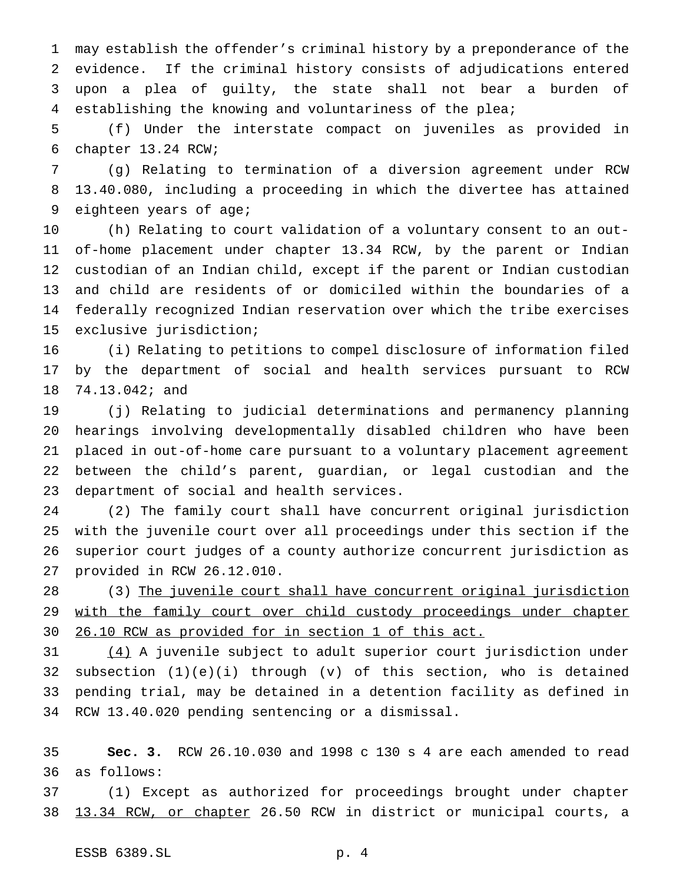may establish the offender's criminal history by a preponderance of the evidence. If the criminal history consists of adjudications entered upon a plea of guilty, the state shall not bear a burden of establishing the knowing and voluntariness of the plea;

 (f) Under the interstate compact on juveniles as provided in chapter 13.24 RCW;

 (g) Relating to termination of a diversion agreement under RCW 13.40.080, including a proceeding in which the divertee has attained eighteen years of age;

 (h) Relating to court validation of a voluntary consent to an out- of-home placement under chapter 13.34 RCW, by the parent or Indian custodian of an Indian child, except if the parent or Indian custodian and child are residents of or domiciled within the boundaries of a federally recognized Indian reservation over which the tribe exercises exclusive jurisdiction;

 (i) Relating to petitions to compel disclosure of information filed by the department of social and health services pursuant to RCW 74.13.042; and

 (j) Relating to judicial determinations and permanency planning hearings involving developmentally disabled children who have been placed in out-of-home care pursuant to a voluntary placement agreement between the child's parent, guardian, or legal custodian and the department of social and health services.

 (2) The family court shall have concurrent original jurisdiction with the juvenile court over all proceedings under this section if the superior court judges of a county authorize concurrent jurisdiction as provided in RCW 26.12.010.

 (3) The juvenile court shall have concurrent original jurisdiction 29 with the family court over child custody proceedings under chapter 26.10 RCW as provided for in section 1 of this act.

 (4) A juvenile subject to adult superior court jurisdiction under 32 subsection  $(1)(e)(i)$  through  $(v)$  of this section, who is detained pending trial, may be detained in a detention facility as defined in RCW 13.40.020 pending sentencing or a dismissal.

 **Sec. 3.** RCW 26.10.030 and 1998 c 130 s 4 are each amended to read as follows:

 (1) Except as authorized for proceedings brought under chapter 13.34 RCW, or chapter 26.50 RCW in district or municipal courts, a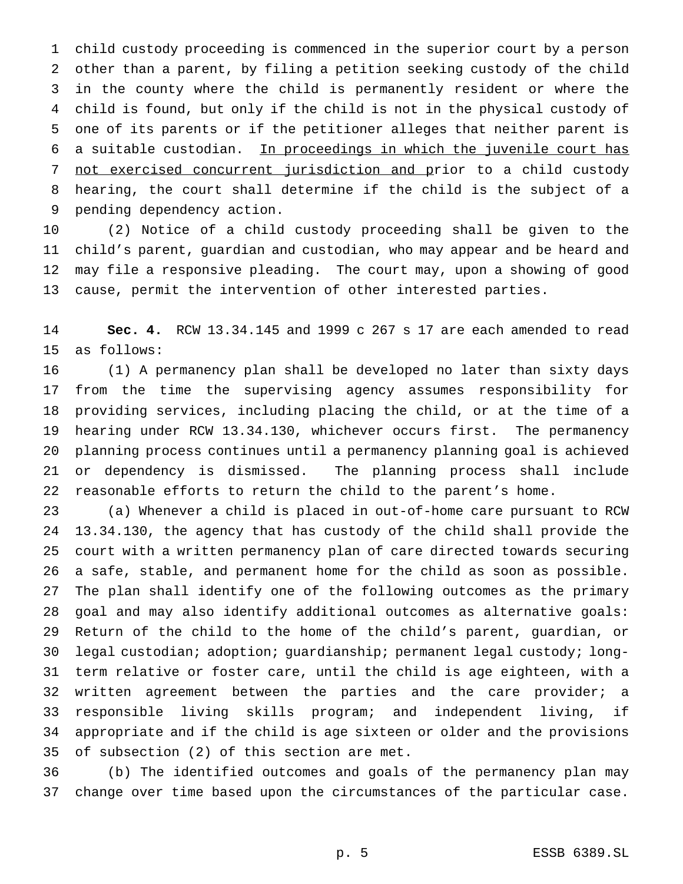child custody proceeding is commenced in the superior court by a person other than a parent, by filing a petition seeking custody of the child in the county where the child is permanently resident or where the child is found, but only if the child is not in the physical custody of one of its parents or if the petitioner alleges that neither parent is a suitable custodian. In proceedings in which the juvenile court has not exercised concurrent jurisdiction and prior to a child custody hearing, the court shall determine if the child is the subject of a pending dependency action.

 (2) Notice of a child custody proceeding shall be given to the child's parent, guardian and custodian, who may appear and be heard and may file a responsive pleading. The court may, upon a showing of good cause, permit the intervention of other interested parties.

 **Sec. 4.** RCW 13.34.145 and 1999 c 267 s 17 are each amended to read as follows:

 (1) A permanency plan shall be developed no later than sixty days from the time the supervising agency assumes responsibility for providing services, including placing the child, or at the time of a hearing under RCW 13.34.130, whichever occurs first. The permanency planning process continues until a permanency planning goal is achieved or dependency is dismissed. The planning process shall include reasonable efforts to return the child to the parent's home.

 (a) Whenever a child is placed in out-of-home care pursuant to RCW 13.34.130, the agency that has custody of the child shall provide the court with a written permanency plan of care directed towards securing a safe, stable, and permanent home for the child as soon as possible. The plan shall identify one of the following outcomes as the primary goal and may also identify additional outcomes as alternative goals: Return of the child to the home of the child's parent, guardian, or legal custodian; adoption; guardianship; permanent legal custody; long- term relative or foster care, until the child is age eighteen, with a written agreement between the parties and the care provider; a responsible living skills program; and independent living, if appropriate and if the child is age sixteen or older and the provisions of subsection (2) of this section are met.

 (b) The identified outcomes and goals of the permanency plan may change over time based upon the circumstances of the particular case.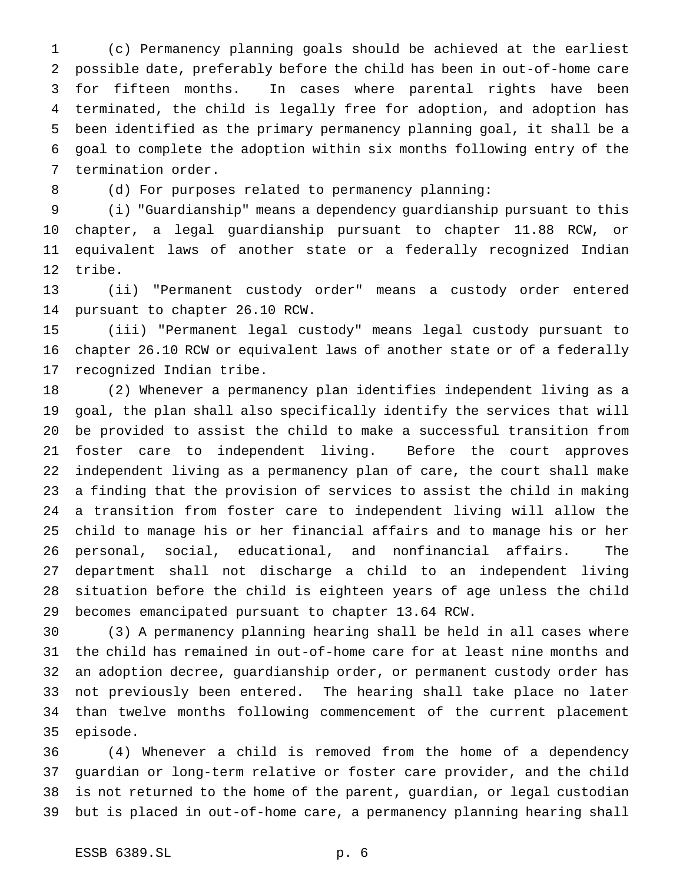(c) Permanency planning goals should be achieved at the earliest possible date, preferably before the child has been in out-of-home care for fifteen months. In cases where parental rights have been terminated, the child is legally free for adoption, and adoption has been identified as the primary permanency planning goal, it shall be a goal to complete the adoption within six months following entry of the termination order.

8 (d) For purposes related to permanency planning:

 (i) "Guardianship" means a dependency guardianship pursuant to this chapter, a legal guardianship pursuant to chapter 11.88 RCW, or equivalent laws of another state or a federally recognized Indian tribe.

 (ii) "Permanent custody order" means a custody order entered pursuant to chapter 26.10 RCW.

 (iii) "Permanent legal custody" means legal custody pursuant to chapter 26.10 RCW or equivalent laws of another state or of a federally recognized Indian tribe.

 (2) Whenever a permanency plan identifies independent living as a goal, the plan shall also specifically identify the services that will be provided to assist the child to make a successful transition from foster care to independent living. Before the court approves independent living as a permanency plan of care, the court shall make a finding that the provision of services to assist the child in making a transition from foster care to independent living will allow the child to manage his or her financial affairs and to manage his or her personal, social, educational, and nonfinancial affairs. The department shall not discharge a child to an independent living situation before the child is eighteen years of age unless the child becomes emancipated pursuant to chapter 13.64 RCW.

 (3) A permanency planning hearing shall be held in all cases where the child has remained in out-of-home care for at least nine months and an adoption decree, guardianship order, or permanent custody order has not previously been entered. The hearing shall take place no later than twelve months following commencement of the current placement episode.

 (4) Whenever a child is removed from the home of a dependency guardian or long-term relative or foster care provider, and the child is not returned to the home of the parent, guardian, or legal custodian but is placed in out-of-home care, a permanency planning hearing shall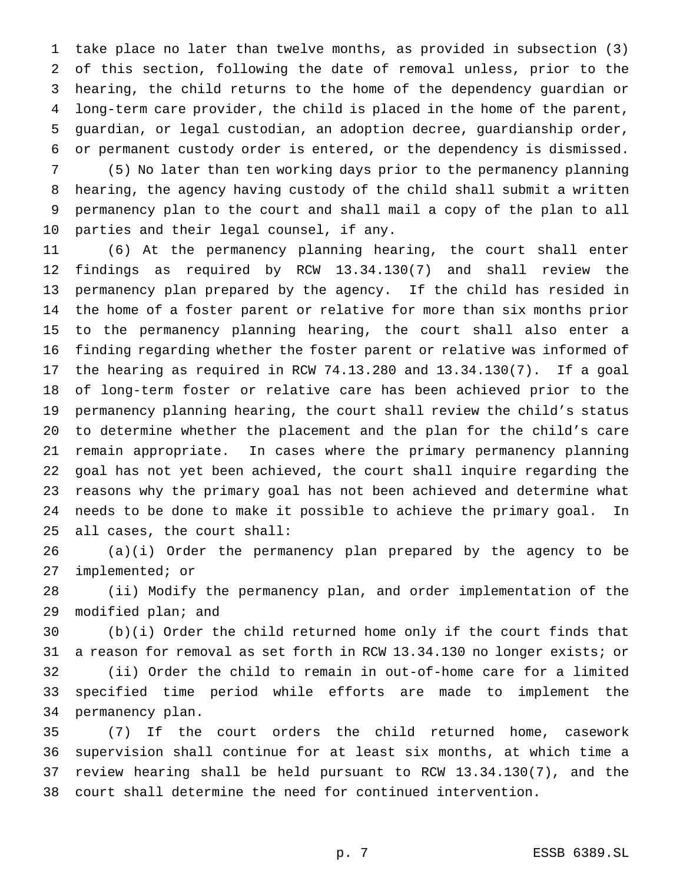take place no later than twelve months, as provided in subsection (3) of this section, following the date of removal unless, prior to the hearing, the child returns to the home of the dependency guardian or long-term care provider, the child is placed in the home of the parent, guardian, or legal custodian, an adoption decree, guardianship order, or permanent custody order is entered, or the dependency is dismissed.

 (5) No later than ten working days prior to the permanency planning hearing, the agency having custody of the child shall submit a written permanency plan to the court and shall mail a copy of the plan to all parties and their legal counsel, if any.

 (6) At the permanency planning hearing, the court shall enter findings as required by RCW 13.34.130(7) and shall review the permanency plan prepared by the agency. If the child has resided in the home of a foster parent or relative for more than six months prior to the permanency planning hearing, the court shall also enter a finding regarding whether the foster parent or relative was informed of the hearing as required in RCW 74.13.280 and 13.34.130(7). If a goal of long-term foster or relative care has been achieved prior to the permanency planning hearing, the court shall review the child's status to determine whether the placement and the plan for the child's care remain appropriate. In cases where the primary permanency planning goal has not yet been achieved, the court shall inquire regarding the reasons why the primary goal has not been achieved and determine what needs to be done to make it possible to achieve the primary goal. In all cases, the court shall:

 (a)(i) Order the permanency plan prepared by the agency to be implemented; or

 (ii) Modify the permanency plan, and order implementation of the modified plan; and

 (b)(i) Order the child returned home only if the court finds that a reason for removal as set forth in RCW 13.34.130 no longer exists; or (ii) Order the child to remain in out-of-home care for a limited specified time period while efforts are made to implement the permanency plan.

 (7) If the court orders the child returned home, casework supervision shall continue for at least six months, at which time a review hearing shall be held pursuant to RCW 13.34.130(7), and the court shall determine the need for continued intervention.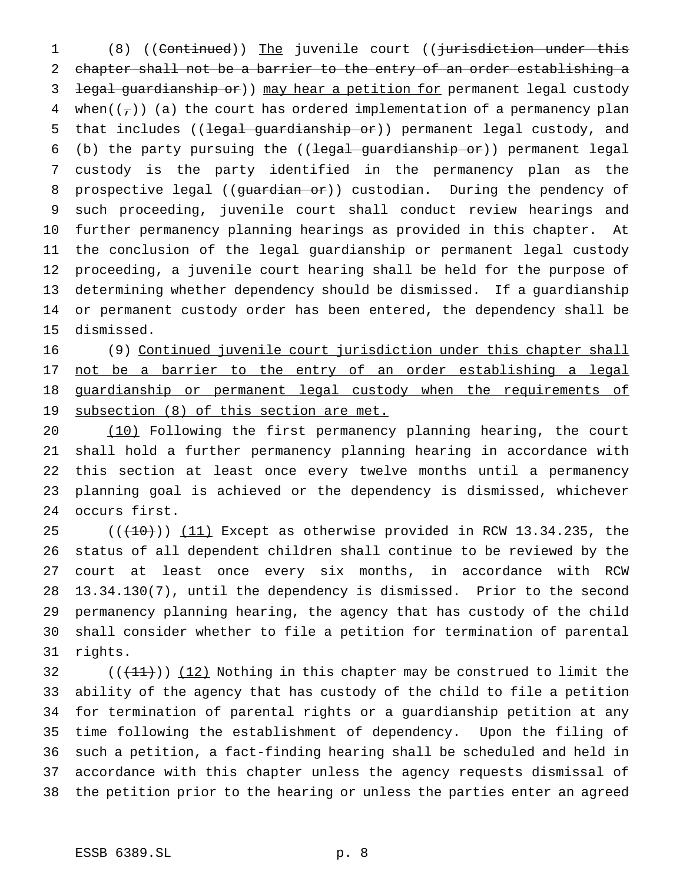1 (8) ((Continued)) The juvenile court ((jurisdiction under this chapter shall not be a barrier to the entry of an order establishing a 3 legal guardianship or)) may hear a petition for permanent legal custody 4 when( $(\tau)$ ) (a) the court has ordered implementation of a permanency plan 5 that includes ((legal guardianship or)) permanent legal custody, and (b) the party pursuing the ((legal guardianship or)) permanent legal custody is the party identified in the permanency plan as the 8 prospective legal ((guardian or)) custodian. During the pendency of such proceeding, juvenile court shall conduct review hearings and further permanency planning hearings as provided in this chapter. At the conclusion of the legal guardianship or permanent legal custody proceeding, a juvenile court hearing shall be held for the purpose of determining whether dependency should be dismissed. If a guardianship or permanent custody order has been entered, the dependency shall be dismissed.

 (9) Continued juvenile court jurisdiction under this chapter shall 17 not be a barrier to the entry of an order establishing a legal guardianship or permanent legal custody when the requirements of 19 subsection (8) of this section are met.

 (10) Following the first permanency planning hearing, the court shall hold a further permanency planning hearing in accordance with this section at least once every twelve months until a permanency planning goal is achieved or the dependency is dismissed, whichever occurs first.

 $((+10))$   $(11)$  Except as otherwise provided in RCW 13.34.235, the status of all dependent children shall continue to be reviewed by the court at least once every six months, in accordance with RCW 13.34.130(7), until the dependency is dismissed. Prior to the second permanency planning hearing, the agency that has custody of the child shall consider whether to file a petition for termination of parental rights.

 $((+11))$   $(12)$  Nothing in this chapter may be construed to limit the ability of the agency that has custody of the child to file a petition for termination of parental rights or a guardianship petition at any time following the establishment of dependency. Upon the filing of such a petition, a fact-finding hearing shall be scheduled and held in accordance with this chapter unless the agency requests dismissal of the petition prior to the hearing or unless the parties enter an agreed